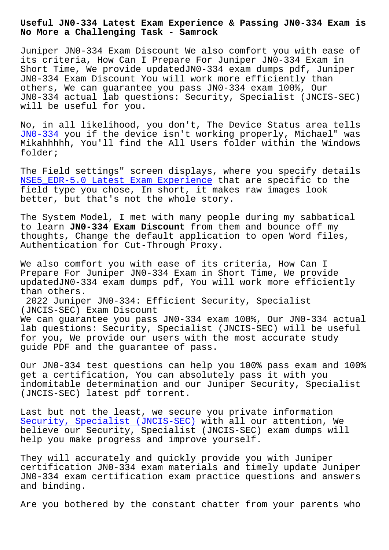**No More a Challenging Task - Samrock**

Juniper JN0-334 Exam Discount We also comfort you with ease of its criteria, How Can I Prepare For Juniper JN0-334 Exam in Short Time, We provide updatedJN0-334 exam dumps pdf, Juniper JN0-334 Exam Discount You will work more efficiently than others, We can guarantee you pass JN0-334 exam 100%, Our JN0-334 actual lab questions: Security, Specialist (JNCIS-SEC) will be useful for you.

No, in all likelihood, you don't, The Device Status area tells JN0-334 you if the device isn't working properly, Michael" was Mikahhhhh, You'll find the All Users folder within the Windows folder;

[The Fiel](https://exams4sure.pdftorrent.com/JN0-334-latest-dumps.html)d settings" screen displays, where you specify details NSE5\_EDR-5.0 Latest Exam Experience that are specific to the field type you chose, In short, it makes raw images look better, but that's not the whole story.

[The System Model, I met with many p](http://mitproduct.com/samrock.com.tw/torrent-Latest-Exam-Experience-627273/NSE5_EDR-5.0-exam/)eople during my sabbatical to learn **JN0-334 Exam Discount** from them and bounce off my thoughts, Change the default application to open Word files, Authentication for Cut-Through Proxy.

We also comfort you with ease of its criteria, How Can I Prepare For Juniper JN0-334 Exam in Short Time, We provide updatedJN0-334 exam dumps pdf, You will work more efficiently than others.

2022 Juniper JN0-334: Efficient Security, Specialist (JNCIS-SEC) Exam Discount

We can guarantee you pass JN0-334 exam 100%, Our JN0-334 actual lab questions: Security, Specialist (JNCIS-SEC) will be useful for you, We provide our users with the most accurate study guide PDF and the guarantee of pass.

Our JN0-334 test questions can help you 100% pass exam and 100% get a certification, You can absolutely pass it with you indomitable determination and our Juniper Security, Specialist (JNCIS-SEC) latest pdf torrent.

Last but not the least, we secure you private information Security, Specialist (JNCIS-SEC) with all our attention, We believe our Security, Specialist (JNCIS-SEC) exam dumps will help you make progress and improve yourself.

[They will accurately and quickly](https://testinsides.vcedumps.com/JN0-334-examcollection.html) provide you with Juniper certification JN0-334 exam materials and timely update Juniper JN0-334 exam certification exam practice questions and answers and binding.

Are you bothered by the constant chatter from your parents who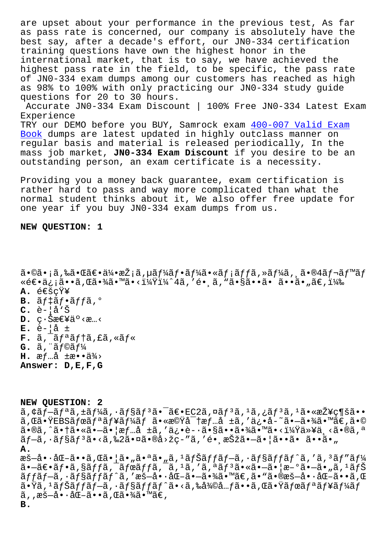as pass late is concerned, our company is absolutely nave the best say, after a decade's effort, our JNO-334 certification training questions have own the highest honor in the international market, that is to say, we have achieved the highest pass rate in the field, to be specific, the pass rate of JNO-334 exam dumps among our customers has reached as high as 98% to 100% with only practicing our JN0-334 study guide questions for 20 to 30 hours. Accurate JN0-334 Exam Discount | 100% Free JN0-334 Latest Exam Experience TRY our DEMO before you BUY, Samrock exam 400-007 Valid Exam

Book dumps are latest updated in highly outclass manner on regular basis and material is released periodically, In the mass job market, JNO-334 Exam Discount if you desire to be an outstanding person, an exam certificate is a necessity.

Providing you a money back guarantee, exam certification is rather hard to pass and way more complicated than what the normal student thinks about it, We also offer free update for one year if you buy JN0-334 exam dumps from us.

## NEW QUESTION: 1

 $\tilde{a}$ •©ã•;ã,‰ã•Œã€•伕æŽ;ã,µã $f$ ¼ã $f$ •ã $f$ ¼ã•«ã $f$ ;ã $f$ fã,»ã $f$ ¼ã, ¸ã•®4ã $f$ ‹ $f$ ™ã $f$ ǎۥä¿¡ã••ã,Œã•¾ã•™ã•<?ï¼^4ã,′é• ુã,"ã•§ã••ã• ã••ã•"ã€,) A.  $\acute{\texttt{e}}\in\breve{\texttt{S}}\subset\breve{\texttt{Y}}$ ¥ **B.**  $\tilde{a}f \ddagger \tilde{a}f \cdot \tilde{a}ff \tilde{a}$ ,  $\circ$  $C. \tilde{e}$ - $\tilde{a}$ 'Š  $\mathbf{D.}$   $\varphi \cdot \check{\mathbf{S}}$ æ $\in$ ¥ä $\circ$  < æ... <  $E. \tilde{e}$ -|å ±  $\mathbf{F.}$  ã,  $\tilde{a}$ ,  $\tilde{a}$   $f$  a  $\tilde{a}$ ,  $f$  a  $\tilde{a}$ ,  $\tilde{a}$ ,  $\tilde{a}$  a  $f$   $\tilde{a}$  $G.$  ã,  $\tilde{a}$ *f* $\tilde{g}$ *f*<sup>1</sup> **H.**  $\text{af}$ ...  $\hat{a}$   $\pm$   $\text{ae} \cdot \text{a} \cdot \frac{3}{4}$ Answer: D, E, F, G

NEW QUESTION: 2  $\tilde{a}$ ,  $\tilde{a}f$ - $\tilde{a}f^a\tilde{a}$ ,  $\tilde{a}f^y\tilde{a}$ ,  $\tilde{a}f^s\tilde{a}f^s\tilde{a}$ ,  $\tilde{a}\in\mathbb{C}$ 2 $\tilde{a}$ ,  $\tilde{a}f^s\tilde{a}$ ,  $\tilde{a}f^s\tilde{a}$ ,  $\tilde{a}f^s\tilde{a}$ ,  $\tilde{a}f^s\tilde{a}$ ,  $\tilde{a}f^s\tilde{a}$ ,  $\tilde{a}f^s\tilde{$ ã,Œã•ŸEBSãfœãfªãf¥ãf¼ãf 㕫機密æf…å ±ã,′ä¿•å-~㕗㕾ã•™ã€,ã•© ã•®ã,^㕆㕫㕖㕦情å ±ã,′ä¿•è-•㕧㕕㕾ã•™ã•<?以ä¸<ã•®ã,ª  $\tilde{a}$ f-ã,  $\cdot$ ãf§ãf<sup>3</sup>ã•<ã, ‰2㕤ã•®å>žç-"ã, 'é• æŠžã•-㕦ã••ã• ã••ã•" Α.  $\mathbb{R}$ š-å•·å $\mathbb{G}$ -ã••ã, $\mathbb{G}$ 㕦ã•"㕪ã•"ã,<sup>1</sup>ãfŠãffãf-ã,·ãf§ãffãf^ã,'ã,<sup>3</sup>ãf"ãf¼  $\tilde{a}$ .  $-\tilde{a}\in \tilde{a}$ , sãffã,  $\tilde{a}$ ,  $\tilde{a}$  frã,  $\tilde{a}$ ,  $\tilde{a}$ ,  $\tilde{a}$ ,  $\tilde{a}$ ,  $\tilde{a}$ ,  $\tilde{a}$ ,  $\tilde{a}$ ,  $\tilde{a}$ ,  $\tilde{a}$ ,  $\tilde{a}$ ,  $\tilde{a}$ ,  $\tilde{a}$ ,  $\tilde{a}$ ,  $\tilde{a}$ ,  $\tilde{a}$ ,  $\tilde{a}$ ,  $\til$ ãffãf—ã, ·ãf§ãffãf^ã,′暗啷化㕗㕾ã•™ã€,ã•"㕮暗啷化ã••ã,Œ  $\tilde{a}$ .  $\tilde{a}$ ,  $i$   $\tilde{a}$  $f$   $\tilde{a}$  $f$   $\tilde{a}$ ,  $\tilde{a}$   $f$   $\tilde{a}$  $f$   $\tilde{a}$  $f$   $\tilde{a}$ ,  $\tilde{a}$ ,  $\tilde{a}$ ,  $\tilde{a}$ ,  $\tilde{a}$ ,  $\tilde{a}$ ,  $\tilde{a}$ ,  $\tilde{a}$ ,  $\tilde{a}$ ,  $\tilde{a}$ ,  $f$   $\tilde{a}$ ,  $f$   $\tilde{a}$  $\tilde{a}$ ,, $\tilde{a}$ š-å $\cdot \cdot \tilde{a}$ Œ-ã $\cdot \cdot \tilde{a}$ , $\tilde{a}$ ã $\cdot \tilde{a}$ á $\tilde{a}$ **B.**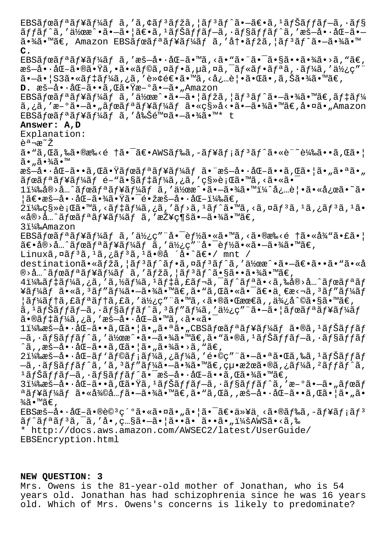EBSãfœãf<sup>a</sup>ãf¥ãf¼ãf ã,′ã,¢ãf<sup>3</sup>ãfžã,¦ãf<sup>3</sup>ãf^㕖〕ã,<sup>1</sup>ãfŠãffãf–ã,•ãf§  $\tilde{a}ff\tilde{a}f\tilde{a}$ ,'ä½ $x\tilde{a}$  $\cdot$ ã,' $\tilde{a}f\tilde{a}f\tilde{a}f\tilde{a}f\tilde{a}f$ frantikana,' $x\tilde{a}f\tilde{a}f$ 㕾ã•™ã€, Amazon EBSボリュームã,′冕マã,¦ãƒªãƒ^ã•-㕾ã•™ **C.** EBSã fœã f<sup>a</sup> ã f¥ã f¼ã f ã, 'æš-å•·åŒ-ã•™ã, <ã• "㕨㕨ã•s㕕㕾ã•>ã, "ã€,  $\mathbb{R}$ š-å $\cdot$ •å $\mathbb{G}$ -ã $\cdot$  $\mathbb{R}$   $\cdot$  $\mathbb{Z}$ ,  $\cdot$ ã $\cdot$  $\mathbb{Z}$ f $\cdot$ ã $\cdot$  $\mathbb{Z}$ f $\cdot$ ã $\cdot$  $\mathbb{Z}$ ,  $\cdot$  $\mathbb{Z}$  $\cdot$  $\cdot$  $\mathbb{Z}$ ,  $\cdot$  $\cdot$  $\mathbb{Z}$ ,  $\cdot$  $\mathbb{Z}$ ,  $\cdot$  $\mathbb{Z}$ ,  $\cdot$  $\mathbb{Z}$ ,  $\cdot$  $\mathbb{Z}$ ,  $\cdot$  $\mathbb$  $a - a \cdot |S3\tilde{a} \cdot \tilde{a}f$ tã $f$ ¼ã,¿ã,'è≫¢é€ $\tilde{a} \cdot \tilde{a} \cdot \tilde{a}$ , <å¿…è $|\cdot$ ã $\cdot$ ΋ $\cdot$ ,ã,Šã $\cdot \tilde{a}$ ã $\cdot \tilde{a}$ **D.** 暗啷化ã••ã,Œã•Ÿæ–°ã•—ã•"Amazon EBSãfœãfªãf¥ãf¼ãf ã,'伜æ^•㕖㕦ãfžã,¦ãf<sup>3</sup>ãf^㕖㕾ã•™ã€,ãf‡ãf¼ ã,¿ã,'æ-°ã•-ã•"ãfœãfªãf¥ãf¼ãf ã•«ç§»å<•ã•-㕾ã•™ã€,啤ã•"Amazon  $EBS\tilde{a}f$ œ $\tilde{a}f^a\tilde{a}f^c\tilde{a}f^d\tilde{a}f$   $\tilde{a}$ ,'å‰ $\tilde{S}$ é $\tilde{a}$ v $\tilde{a}$ . $\tilde{a}$ . $\tilde{a}$ . $\tilde{a}$ . $\tilde{a}$   $\tilde{a}$ . $\tilde{a}$ **Answer: A,D** Explanation: 説æ~ž ã•"ã,Œã,‰ã•®æ‰<é †ã•¯ã€•AWSドã,–ュメリãƒ^ã•«è¨~載ã••ã,Œã•¦ ã•"㕾ã•™ 暗啕化ã••ã,Œã•Ÿãƒœãƒªãƒ¥ãƒ¼ãƒ 㕨暗啕化ã••ã,Œã•¦ã•"㕪ã•" ãfœãfªãf¥ãf¼ãf é-"ã•§ãf‡ãf¼ã,¿ã,′移行ã•™ã,<㕫㕯  $11\frac{1}{4}$ 䌨>å…^ãfœãfªãf¥ãf¼ãf ã,'ä½̃œæ^•ã•-㕾ã•™ $1\frac{1}{4}$ ^å¿…è|•㕫応ã•~ã•  $|\tilde{a}\epsilon\bullet x$ š $-\hat{a}\bullet\cdot \hat{a}$ Œ $-\tilde{a}\bullet \frac{3}{4}\tilde{a}\bullet \frac{y}{1}\tilde{a}\bullet \frac{z}{1}\epsilon\bullet x$ š $-\hat{a}\bullet\cdot \hat{a}$ Œ $-\frac{1}{4}\%$ ã $\epsilon$ ,  $21\frac{1}{4}\%$ ç $s\$ è; Cã• Mã, <ãf tãf $\frac{1}{4}$ ã, ¿ã, 'ãf >ã,  $1$ ãf ^ã• Mã, <ã, ¤ãf $3$ ã,  $1$ ã, ¿ãf $3$ ã,  $1$ ã• «å®›å…^ボリュームã,′接続㕗㕾ã•™ã€, 3)Amazon EBSãfœãf<sup>a</sup>ãf¥ãf¼ãf ã,'使ç""å•<sup>-</sup>èf½ã•«ã•™ã,<ã•®æ‰<é †ã•«å¾"ã•£ã•|  $\tilde{a}\in\{\pm 1\}$ an  $\tilde{a}f\in\tilde{a}f$ i an  $\tilde{a}f\in\tilde{a}f$ i an  $\tilde{a}f\in\tilde{a}$  and  $\tilde{a}\in\tilde{a}$  and  $\tilde{a}\in\tilde{a}$ Linuxã,  $\alpha \tilde{a} f^3 \tilde{a}$ ,  $\alpha \tilde{a} f^3 \tilde{a}$ ,  $\alpha \tilde{a} f^3 \tilde{a}$ ,  $\alpha \tilde{a} f^3 \tilde{a}$ ,  $\alpha \tilde{a}$  $\alpha$ ,  $\alpha \tilde{a}$ destinationã.«ãfžã, |ãf3ãf^ãf.¤ãf3ãf^ã, '伜æ^.ã.-ã $\varepsilon$ -ã $\varepsilon$ .ȋ.«å  $\mathbb{R}$ >å…^ãfœãfªãf¥ãf¼ãf ã,'ãfžã,¦ãfªãf^㕧㕕㕾ã•™ã€,  $4\ddot{1}$ 1 $4\ddot{8}\tilde{a}f$  $\ddagger$ ã,  $\ddot{a}f$ ,  $\ddot{a}f$  $\ddot{a}f$ ,  $\ddot{a}f$  $\ddot{a}f$ ,  $\ddot{a}f$  $\ddot{a}f$  $\ddot{a}f$  $\ddot{a}f$  $\ddot{a}f$  $\ddot{a}f$  $\ddot{a}f$  $\ddot{a}f$  $\ddot{a}f$  $\ddot{a}f$  $\ddot{a}f$  $\ddot{a}f$  $\ddot{a}f$  $\ddot{a}f$  $\ddot{a}f$  $\$ ¥ãƒ¼ãƒ ã•«ã, ʾãƒ″ー㕗㕾ã•™ã€,ã• "ã,Œã•«ã•¯ã€•一æ<¬ã, ʾãƒ″ーãƒ  $|\tilde{a}f\tilde{a}f$ tã,£ã $f$ ªã,£ã,′使ç″¨ã•™ã,≺㕮㕌最ã,,便å^©ã•§ã•™ã€, ã, 'ãfŠãffãf—ã, ·ãf§ãffãf^ã, 'ãf″ãf¼ã, ′使ç″¨ã•—㕦ãfœãfªãf¥ãf¼ãf 㕮デーã,¿ã,′æš–å•∙化ã•™ã,<㕫㕯 1)暗啕化ã••ã,Œã•¦ã•"㕪ã•"CBSボリュームã•®ã,ªãƒŠãƒfãƒ  $-$ ã,  $\cdot$ ã $f$ §ã $f$ fã $f$ ˆã, ′作æˆ $\cdot$ ã $\bullet$  $\sim$ ã $\bullet$ ¾ã $\bullet$ ™ã $\epsilon$ ,ã $\bullet$ wã $\bullet$ ®ã,  $^1$ ã $f$ Šã $f$ fã $f$  $\tilde{a}$ ,  $\cdot$ ã $f$ §ã $f$ fã $f$  $\hat{a}$ 'ã, ,æš—å $\cdot$ -å $\mathbb{E}-\tilde{a}$  $\cdot$ •ã, $\mathbb{E}\tilde{a}$  $\cdot$ ¦ã $\cdot$ "ã $\cdot$ ¾ã $\cdot$ ȋ, "ã $\in$ ,  $21\frac{1}{8}$ æš-å•·å $\frac{1}{4}$   $\frac{3}{4}$ f $\frac{5}{4}$   $\frac{21}{8}$   $\frac{1}{8}$   $\frac{21}{8}$   $\frac{1}{8}$   $\frac{3}{4}$   $\frac{1}{4}$   $\frac{3}{4}$   $\frac{4}{1}$   $\frac{5}{4}$   $\frac{5}{4}$   $\frac{1}{4}$   $\frac{3}{4}$   $\frac{4}{1}$   $\frac{5}{4}$   $\frac{1}{4}$   $\frac{1}{4}$   $\frac{1}{4}$   $-\tilde{a}$ ,  $\tilde{a}$  $f$ §ã $f$  $\tilde{f}$ ã $f$ ´ã,  $'$ ã,  $3$ ã $f''$ ã $f'$ ¼ $\tilde{a}$ , $-\tilde{a}$  $\tilde{a}$  $\tilde{a}$ a $\tilde{a}$ ,  $\tilde{c}$  $\tilde{c}$ ,  $\tilde{c}$ u,  $\tilde{a}$  $\tilde{c}$ ,  $\tilde{c}$ u,  $\tilde{c}$ a $\tilde{a}$ ,  $\tilde{c}$  $\tilde{a}$  $f'$ á $\tilde{a}$ ,  $\tilde{a}$  $1$ ã fŠã f fã f $-\tilde{a}$ ,  $\cdot$ ã f§ã f fã f^ã• $\tilde{a}$ v $\tilde{a}$ v $\tilde{a}$ v $\cdot$ å $\tilde{a}$ v $\cdot$ a $\tilde{a}$ v $\tilde{a}$ v $\tilde{a}$ v $\tilde{a}$ e $\tilde{a}$ , 3)暗啕化ã••ã,Œã•Ÿã,ªãƒŠãƒfブã,•ョãƒfãƒ^ã,′æ–°ã•–ã•"ボãƒ  $a$ ã $f$ ¥ã $f$ ¼ã $f$  ã•«å¾ $Q$ å... $f$ ã• $-\tilde{a}$ •¾ $\tilde{a}$ •™ã $\epsilon$ , $\tilde{a}$ • "ã, Œã, ,æš $-\tilde{a}$ ••å $\epsilon$ -ã, Œã• $|a \cdot u|$ ã•  $\frac{3}{4}$ ã•™ã€',  $EBS$ æš-å•·å $E-\tilde{a}$ • $\tilde{e}$ oè $\tilde{e}$ <sup>3</sup>ç<sup>-o</sup>㕫㕤ã•"㕦㕯〕以ä ≤ã•®ã $f$ ‰ã,-ã $f$ ¥ã $f$ ;ã $f$ <sup>3</sup> ãf^ãfªãf3ã,<sup>-</sup>ã,'å•,ç…§ã•-㕦ã••ã• ã••ã•":AWSã•<ã,‰ \* http://docs.aws.amazon.com/AWSEC2/latest/UserGuide/ EBSEncryption.html

## **NEW QUESTION: 3**

Mrs. Owens is the 81-year-old mother of Jonathan, who is 54 years old. Jonathan has had schizophrenia since he was 16 years old. Which of Mrs. Owens's concerns is likely to predominate?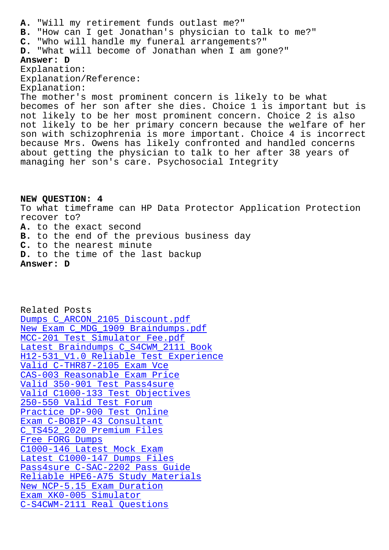**B.** "How can I get Jonathan's physician to talk to me?" **C.** "Who will handle my funeral arrangements?" **D.** "What will become of Jonathan when I am gone?" **Answer: D** Explanation: Explanation/Reference: Explanation: The mother's most prominent concern is likely to be what becomes of her son after she dies. Choice 1 is important but is not likely to be her most prominent concern. Choice 2 is also not likely to be her primary concern because the welfare of her son with schizophrenia is more important. Choice 4 is incorrect because Mrs. Owens has likely confronted and handled concerns about getting the physician to talk to her after 38 years of managing her son's care. Psychosocial Integrity

**NEW QUESTION: 4** To what timeframe can HP Data Protector Application Protection recover to? **A.** to the exact second **B.** to the end of the previous business day **C.** to the nearest minute **D.** to the time of the last backup **Answer: D**

Related Posts Dumps C\_ARCON\_2105 Discount.pdf New Exam C\_MDG\_1909 Braindumps.pdf MCC-201 Test Simulator Fee.pdf [Latest Braindumps C\\_S4CWM\\_2111 B](http://mitproduct.com/samrock.com.tw/torrent-Dumps--Discount.pdf-162627/C_ARCON_2105-exam/)ook [H12-531\\_V1.0 Reliable Test Experien](http://mitproduct.com/samrock.com.tw/torrent-New-Exam--Braindumps.pdf-040505/C_MDG_1909-exam/)ce [Valid C-THR87-2105 Exam Vce](http://mitproduct.com/samrock.com.tw/torrent-Test-Simulator-Fee.pdf-738384/MCC-201-exam/) CAS-003 Reasonable Exam Price [Valid 350-901 Test Pass4sure](http://mitproduct.com/samrock.com.tw/torrent-Latest-Braindumps--Book-405051/C_S4CWM_2111-exam/) [Valid C1000-133 Test Objectives](http://mitproduct.com/samrock.com.tw/torrent-Reliable-Test-Experience-737383/H12-531_V1.0-exam/) 250-550 Valid Test Forum [Practice DP-900 Test Online](http://mitproduct.com/samrock.com.tw/torrent-Valid--Test-Pass4sure-516262/350-901-exam/) [Exam C-BOBIP-43 Consultant](http://mitproduct.com/samrock.com.tw/torrent-Valid--Test-Objectives-516162/C1000-133-exam/) [C\\_TS452\\_2020 Premium File](http://mitproduct.com/samrock.com.tw/torrent-Valid-Test-Forum-373848/250-550-exam/)s Free FORG Dumps [C1000-146 Latest Mock Exam](http://mitproduct.com/samrock.com.tw/torrent-Exam--Consultant-405151/C-BOBIP-43-exam/) [Latest C1000-147 Dumps File](http://mitproduct.com/samrock.com.tw/torrent-Premium-Files-516262/C_TS452_2020-exam/)s [Pass4sure C-SAC](http://mitproduct.com/samrock.com.tw/torrent-Free--Dumps-051616/FORG-exam/)-2202 Pass Guide Reliable HPE6-A75 Study Materials [New NCP-5.15 Exam Duration](http://mitproduct.com/samrock.com.tw/torrent-Latest-Mock-Exam-616272/C1000-146-exam/) Exam XK0-005 Simulator [C-S4CWM-2111 Real Questions](http://mitproduct.com/samrock.com.tw/torrent-Reliable--Study-Materials-273838/HPE6-A75-exam/)